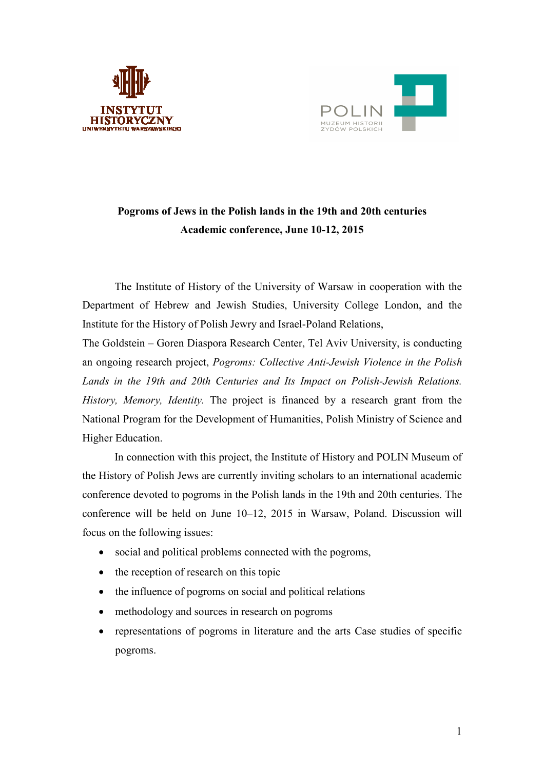



## **Pogroms of Jews in the Polish lands in the 19th and 20th centuries Academic conference, June 10-12, 2015**

The Institute of History of the University of Warsaw in cooperation with the Department of Hebrew and Jewish Studies, University College London, and the Institute for the History of Polish Jewry and Israel-Poland Relations,

The Goldstein – Goren Diaspora Research Center, Tel Aviv University, is conducting an ongoing research project, *Pogroms: Collective Anti-Jewish Violence in the Polish Lands in the 19th and 20th Centuries and Its Impact on Polish-Jewish Relations. History, Memory, Identity.* The project is financed by a research grant from the National Program for the Development of Humanities, Polish Ministry of Science and Higher Education.

In connection with this project, the Institute of History and POLIN Museum of the History of Polish Jews are currently inviting scholars to an international academic conference devoted to pogroms in the Polish lands in the 19th and 20th centuries. The conference will be held on June 10–12, 2015 in Warsaw, Poland. Discussion will focus on the following issues:

- social and political problems connected with the pogroms,
- the reception of research on this topic
- the influence of pogroms on social and political relations
- methodology and sources in research on pogroms
- representations of pogroms in literature and the arts Case studies of specific pogroms.